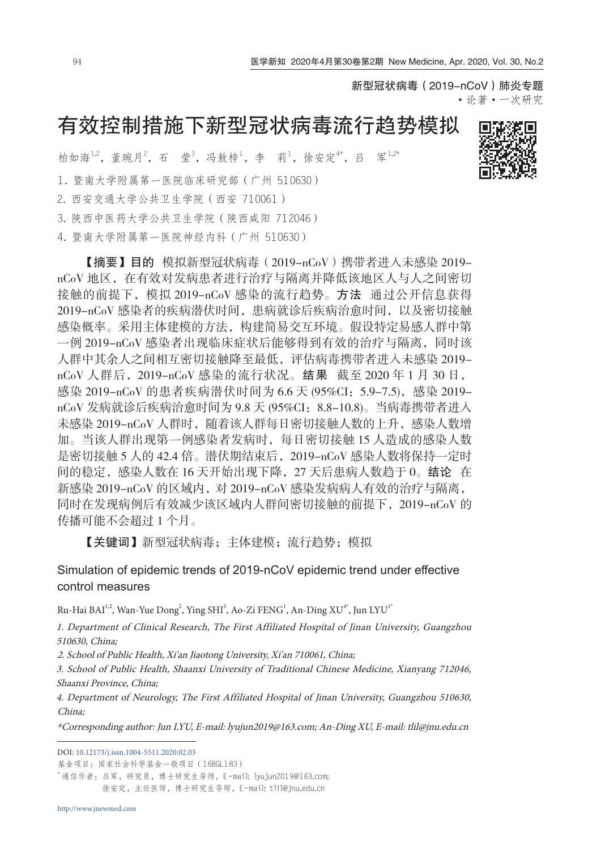新型冠状病毒(2019-nCoV)肺炎专题 ·论著·一次研究

# 有效控制措施下新型冠状病毒流行趋势模拟

柏如海1,2, 董琬月2, 石 莹3, 冯敖梓1, 李 莉1, 徐安定\*\*, 吕 军1,2\* 1. 暨南大学附属第一医院临床研究部(广州 510630) 2. 西安交通大学公共卫生学院(西安 710061) 3. 陕西中医药大学公共卫生学院(陕西咸阳 712046) 4. 暨南大学附属第一医院神经内科(广州 510630)

【摘要】目的 模拟新型冠状病毒(2019-nCoV)携带者进入未感染 2019 nCoV 地区,在有效对发病患者进行治疗与隔离并降低该地区人与人之间密切 接触的前提下,模拟 2019-nCoV 感染的流行趋势。方法 通过公开信息获得 2019-nCoV 感染者的疾病潜伏时间,患病就诊后疾病治愈时间,以及密切接触 感染概率。采用主体建模的方法,构建简易交互环境。假设特定易感人群中第 一例 2019-nCoV 感染者出现临床症状后能够得到有效的治疗与隔离,同时该 人群中其余人之间相互密切接触降至最低,评估病毒携带者进入未感染 2019 nCoV 人群后,2019-nCoV 感染的流行状况。结果 截至 2020 年 1 月 30 日, 感染 2019-nCoV 的患者疾病潜伏时间为 6.6 天 (95%CI: 5.9-7.5), 感染 2019nCoV 发病就诊后疾病治愈时间为 9.8 天 (95%CI: 8.8-10.8)。当病毒携带者进入 未感染 2019-nCoV 人群时,随着该人群每日密切接触人数的上升,感染人数增 加。当该人群出现第一例感染者发病时,每日密切接触 15 人造成的感染人数 是密切接触 5 人的 42.4 倍。潜伏期结束后, 2019-nCoV 感染人数将保持一定时 间的稳定,感染人数在 16 天开始出现下降,27 天后患病人数趋于 0。结论 在 新感染 2019-nCoV 的区域内,对 2019-nCoV 感染发病病人有效的治疗与隔离, 同时在发现病例后有效减少该区域内人群间密切接触的前提下,2019-nCoV 的 传播可能不会超过 1 个月。

【关键词】新型冠状病毒;主体建模;流行趋势;模拟

# Simulation of epidemic trends of 2019-nCoV epidemic trend under effective control measures

Ru-Hai BAI $^{1,2}$ , Wan-Yue Dong $^2$ , Ying SHI $^3$ , Ao-Zi FENG $^1$ , An-Ding XU $^{4^\ast}$ , Jun LYU $^{1^\ast}$ 

1. Department of Clinical Research, The First Affiliated Hospital of Jinan University, Guangzhou 510630, China;

2. School of Public Health, Xi'an Jiaotong University, Xi'an 710061, China;

3. School of Public Health, Shaanxi University of Traditional Chinese Medicine, Xianyang 712046, Shaanxi Province, China;

4. Department of Neurology, The First Affiliated Hospital of Jinan University, Guangzhou 510630, China;

\*Corresponding author: Jun LYU, E-mail: lyujun2019@163.com; An-Ding XU, E-mail: tlil@jnu.edu.cn

DOI: [10.12173/j.issn.1004-5511.2020.02.03](http://dx.doi.org/10.12173/j.issn.1004-5511.2020.02.03)

基金项目:国家社会科学基金一般项目(16BGL183)

'通信作者: 吕军, 研究员, 博士研究生导师, E-mail: lyujun2019@163.com; 徐安定,主任医师,博士研究生导师,E-mail: tlil@jnu.edu.cn

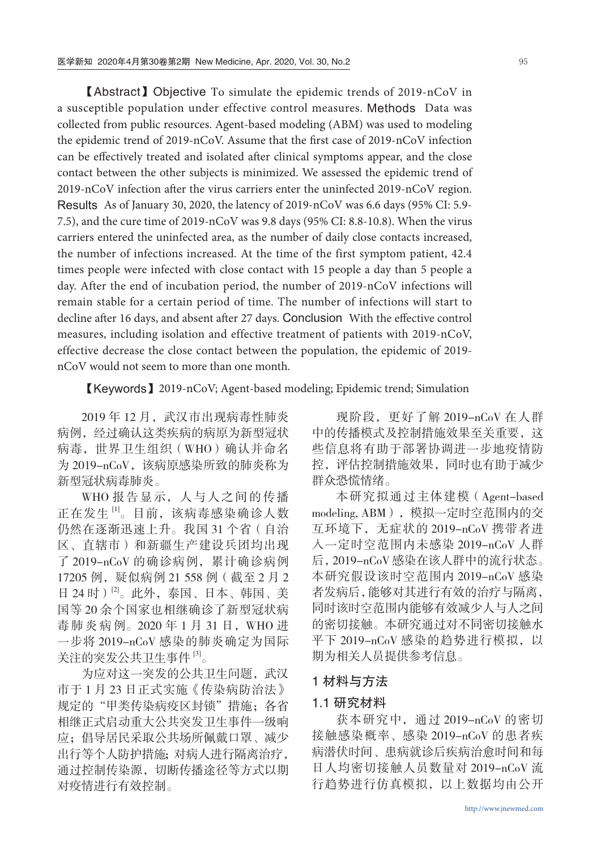【Abstract】Objective To simulate the epidemic trends of 2019-nCoV in a susceptible population under effective control measures. Methods Data was collected from public resources. Agent-based modeling (ABM) was used to modeling the epidemic trend of 2019-nCoV. Assume that the first case of 2019-nCoV infection can be effectively treated and isolated after clinical symptoms appear, and the close contact between the other subjects is minimized. We assessed the epidemic trend of 2019-nCoV infection after the virus carriers enter the uninfected 2019-nCoV region. Results As of January 30, 2020, the latency of 2019-nCoV was 6.6 days (95% CI: 5.9- 7.5), and the cure time of 2019-nCoV was 9.8 days (95% CI: 8.8-10.8). When the virus carriers entered the uninfected area, as the number of daily close contacts increased, the number of infections increased. At the time of the first symptom patient, 42.4 times people were infected with close contact with 15 people a day than 5 people a day. After the end of incubation period, the number of 2019-nCoV infections will remain stable for a certain period of time. The number of infections will start to decline after 16 days, and absent after 27 days. Conclusion With the effective control measures, including isolation and effective treatment of patients with 2019-nCoV, effective decrease the close contact between the population, the epidemic of 2019 nCoV would not seem to more than one month.

【Keywords】2019-nCoV; Agent-based modeling; Epidemic trend; Simulation

2019年12月, 武汉市出现病毒性肺炎 病例,经过确认这类疾病的病原为新型冠状 病毒,世界卫生组织(WHO)确认并命名 为 2019-nCoV, 该病原感染所致的肺炎称为 新型冠状病毒肺炎。

WHO 报告显示, 人与人之间的传播 正在发生 [1]。目前,该病毒感染确诊人数 仍然在逐渐迅速上升。我国 31 个省(自治 区、直辖市)和新疆生产建设兵团均出现 了 2019-nCoV 的确诊病例,累计确诊病例 17205 例,疑似病例 21 558 例(截至 2 月 2 日 24 时)<sup>[2]</sup>。此外,泰国、日本、韩国、美 国等 20 余个国家也相继确诊了新型冠状病 毒肺炎病例。2020年1月31日, WHO 进 一步将 2019-nCoV 感染的肺炎确定为国际 关注的突发公共卫生事件 [3]。

为应对这一突发的公共卫生问题, 武汉 市于 1 月 23 日正式实施《传染病防治法》 规定的"甲类传染病疫区封锁"措施;各省 相继正式启动重大公共突发卫生事件一级响 应;倡导居民采取公共场所佩戴口罩、减少 出行等个人防护措施;对病人进行隔离治疗, 通过控制传染源,切断传播途径等方式以期 对疫情进行有效控制。

现阶段,更好了解 2019-nCoV 在人群 中的传播模式及控制措施效果至关重要,这 些信息将有助于部署协调进一步地疫情防 控,评估控制措施效果,同时也有助于减少 群众恐慌情绪。

本研究拟通过主体建模(Agent-based modeling, ABM),模拟一定时空范围内的交 互环境下,无症状的 2019-nCoV 携带者进 入一定时空范围内未感染 2019-nCoV 人群 后,2019-nCoV 感染在该人群中的流行状态。 本研究假设该时空范围内 2019-nCoV 感染 者发病后,能够对其进行有效的治疗与隔离, 同时该时空范围内能够有效减少人与人之间 的密切接触。本研究通过对不同密切接触水 平下 2019-nCoV 感染的趋势进行模拟, 以 期为相关人员提供参考信息。

## 1 材料与方法

## 1.1 研究材料

获本研究中,通过 2019-nCoV 的密切 接触感染概率、感染 2019-nCoV 的患者疾 病潜伏时间、患病就诊后疾病治愈时间和每 日人均密切接触人员数量对 2019-nCoV 流 行趋势进行仿真模拟,以上数据均由公开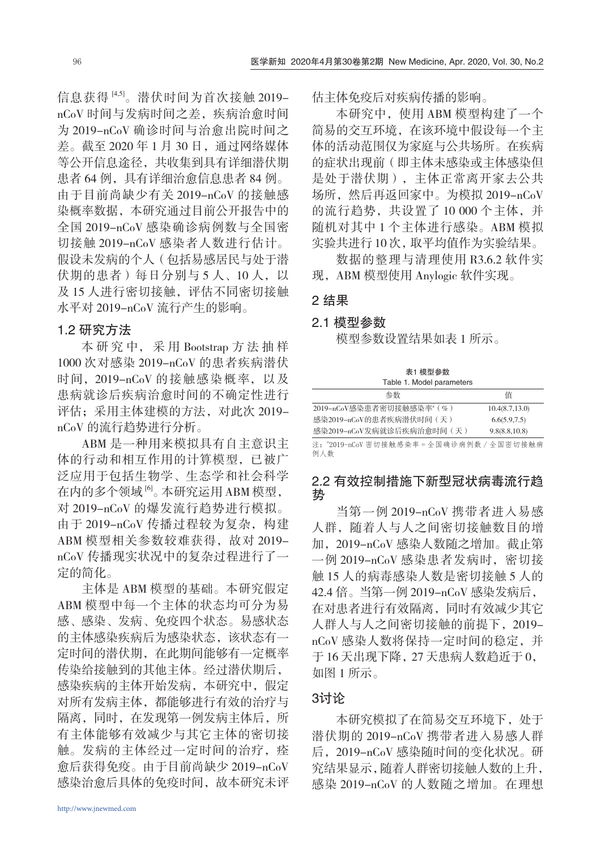信息获得 [4,5]。潜伏时间为首次接触 2019 nCoV 时间与发病时间之差,疾病治愈时间 为 2019-nCoV 确诊时间与治愈出院时间之 差。截至 2020 年 1 月 30 日,通过网络媒体 等公开信息途径,共收集到具有详细潜伏期 患者 64 例, 具有详细治愈信息患者 84 例。 由于目前尚缺少有关 2019-nCoV 的接触感 染概率数据,本研究通过目前公开报告中的 全国 2019-nCoV 感染确诊病例数与全国密 切接触 2019-nCoV 感染者人数进行估计。 假设未发病的个人(包括易感居民与处于潜 伏期的患者)每日分别与5人、10人,以 及 15 人进行密切接触, 评估不同密切接触 水平对 2019-nCoV 流行产生的影响。

## 1.2 研究方法

本 研 究 中, 采 用 Bootstrap 方 法 抽 样 1000 次对感染 2019-nCoV 的患者疾病潜伏 时间, 2019-nCoV 的接触感染概率, 以及 患病就诊后疾病治愈时间的不确定性进行 评估;采用主体建模的方法,对此次 2019 nCoV 的流行趋势进行分析。

ABM 是一种用来模拟具有自主意识主 体的行动和相互作用的计算模型,已被广 泛应用于包括生物学、生态学和社会科学 在内的多个领域 [6]。本研究运用 ABM 模型, 对 2019-nCoV 的爆发流行趋势进行模拟。 由于 2019-nCoV 传播过程较为复杂,构建 ABM 模型相关参数较难获得,故对 2019nCoV 传播现实状况中的复杂过程进行了一 定的简化。

主体是 ABM 模型的基础。本研究假定 ABM 模型中每一个主体的状态均可分为易 感、感染、发病、免疫四个状态。易感状态 的主体感染疾病后为感染状态,该状态有一 定时间的潜伏期,在此期间能够有一定概率 传染给接触到的其他主体。经过潜伏期后, 感染疾病的主体开始发病,本研究中,假定 对所有发病主体,都能够进行有效的治疗与 隔离,同时,在发现第一例发病主体后,所 有主体能够有效减少与其它主体的密切接 触。发病的主体经过一定时间的治疗,痊 愈后获得免疫。由于目前尚缺少 2019-nCoV 感染治愈后具体的免疫时间,故本研究未评 估主体免疫后对疾病传播的影响。

本研究中,使用 ABM 模型构建了一个 简易的交互环境,在该环境中假设每一个主 体的活动范围仅为家庭与公共场所。在疾病 的症状出现前(即主体未感染或主体感染但 是处于潜伏期),主体正常离开家去公共 场所,然后再返回家中。为模拟 2019-nCoV 的流行趋势,共设置了 10 000 个主体,并 随机对其中 1 个主体进行感染。ABM 模拟 实验共进行 10 次,取平均值作为实验结果。

数据的整理与清理使用 R3.6.2 软件实 现,ABM 模型使用 Anylogic 软件实现。

#### 2 结果

## 2.1 模型参数

模型参数设置结果如表 1 所示。

表1 模型参数 Table 1. Model parameters

| 参数                         | 值               |
|----------------------------|-----------------|
| 2019-nCoV感染患者密切接触感染率(%)    | 10.4(8.7, 13.0) |
| 感染2019-nCoV的患者疾病潜伏时间(天)    | 6.6(5.9,7.5)    |
| 感染2019-nCoV发病就诊后疾病治愈时间 (天) | 9.8(8.8, 10.8)  |
|                            |                 |

注: "2019-nCoV 密切接触感染率 = 全国确诊病例数 / 全国密切接触病 例人数

# 2.2 有效控制措施下新型冠状病毒流行趋 势

当第一例 2019-nCoV 携带者进入易感 人群,随着人与人之间密切接触数目的增 加,2019-nCoV 感染人数随之增加。截止第  $-$  例 2019-nCoV 感染患者发病时, 密切接 触 15 人的病毒感染人数是密切接触 5 人的 42.4 倍。当第一例 2019-nCoV 感染发病后, 在对患者进行有效隔离,同时有效减少其它 人群人与人之间密切接触的前提下,2019 nCoV 感染人数将保持一定时间的稳定,并 于 16 天出现下降,27 天患病人数趋近于 0, 如图 1 所示。

# 3讨论

本研究模拟了在简易交互环境下,处于 潜伏期的 2019-nCoV 携带者进入易感人群 后,2019-nCoV 感染随时间的变化状况。研 究结果显示,随着人群密切接触人数的上升, 感染 2019-nCoV 的人数随之增加。在理想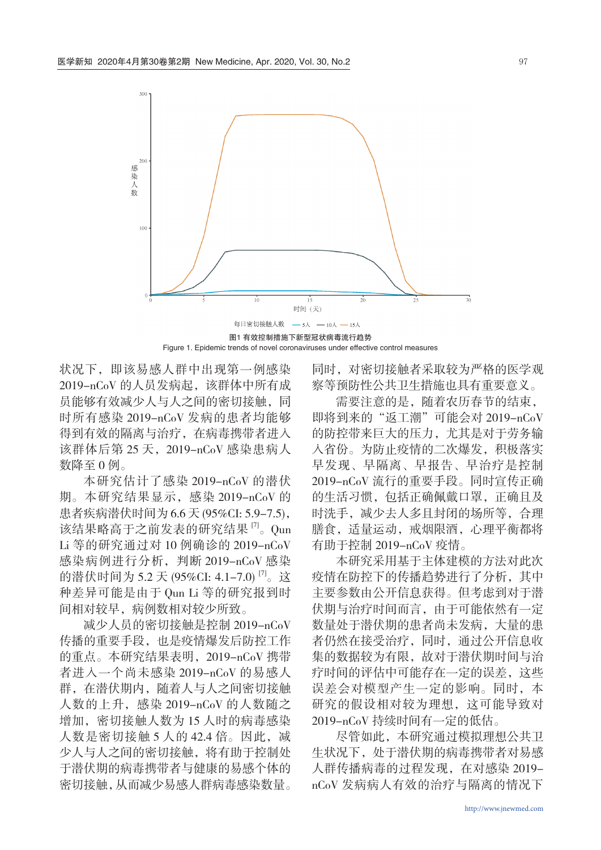

Figure 1. Epidemic trends of novel coronaviruses under effective control measures

状况下,即该易感人群中出现第一例感染 2019-nCoV 的人员发病起, 该群体中所有成 员能够有效减少人与人之间的密切接触,同 时所有感染 2019-nCoV 发病的患者均能够 得到有效的隔离与治疗,在病毒携带者进入 该群体后第 25 天, 2019-nCoV 感染患病人 数降至 0 例。

本研究估计了感染 2019-nCoV 的潜伏 期。本研究结果显示,感染 2019-nCoV 的 患者疾病潜伏时间为 6.6 天 (95%CI: 5.9-7.5), 该结果略高于之前发表的研究结果<sup>[7]</sup>。Qun Li 等的研究通过对 10 例确诊的 2019-nCoV 感染病例进行分析,判断 2019-nCoV 感染 的潜伏时间为 5.2 天 (95%CI: 4.1-7.0)<sup>[7]</sup>。这 种差异可能是由于 Qun Li 等的研究报到时 间相对较早,病例数相对较少所致。

减少人员的密切接触是控制 2019-nCoV 传播的重要手段,也是疫情爆发后防控工作 的重点。本研究结果表明,2019-nCoV 携带 者进入一个尚未感染 2019-nCoV 的易感人 群,在潜伏期内,随着人与人之间密切接触 人数的上升,感染 2019-nCoV 的人数随之 增加,密切接触人数为 15 人时的病毒感染 人数是密切接触 5 人的 42.4 倍。因此, 减 少人与人之间的密切接触,将有助于控制处 于潜伏期的病毒携带者与健康的易感个体的 密切接触,从而减少易感人群病毒感染数量。 同时,对密切接触者采取较为严格的医学观 察等预防性公共卫生措施也具有重要意义。

需要注意的是,随着农历春节的结束, 即将到来的"返工潮"可能会对 2019-nCoV 的防控带来巨大的压力,尤其是对于劳务输 入省份。为防止疫情的二次爆发,积极落实 早发现、早隔离、早报告、早治疗是控制 2019-nCoV 流行的重要手段。同时宣传正确 的生活习惯,包括正确佩戴口罩,正确且及 时洗手,减少去人多且封闭的场所等,合理 膳食,适量运动,戒烟限酒,心理平衡都将 有助于控制 2019-nCoV 疫情。

本研究采用基于主体建模的方法对此次 疫情在防控下的传播趋势进行了分析,其中 主要参数由公开信息获得。但考虑到对于潜 伏期与治疗时间而言,由于可能依然有一定 数量处于潜伏期的患者尚未发病,大量的患 者仍然在接受治疗,同时,通过公开信息收 集的数据较为有限,故对于潜伏期时间与治 疗时间的评估中可能存在一定的误差,这些 误差会对模型产生一定的影响。同时,本 研究的假设相对较为理想,这可能导致对 2019-nCoV 持续时间有一定的低估。

尽管如此,本研究通过模拟理想公共卫 生状况下,处于潜伏期的病毒携带者对易感 人群传播病毒的过程发现,在对感染 2019 nCoV 发病病人有效的治疗与隔离的情况下